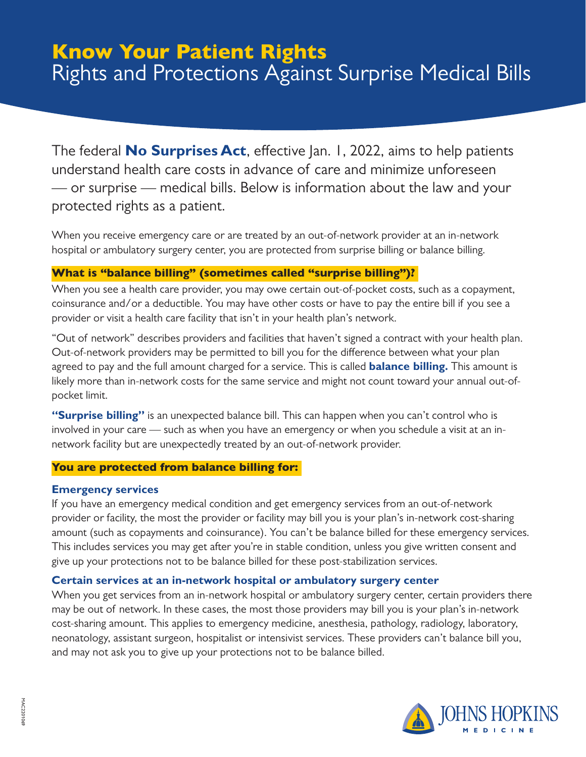# Know Your Patient Rights Rights and Protections Against Surprise Medical Bills

The federal **No Surprises Act**, effective Jan. 1, 2022, aims to help patients understand health care costs in advance of care and minimize unforeseen — or surprise — medical bills. Below is information about the law and your protected rights as a patient.

When you receive emergency care or are treated by an out-of-network provider at an in-network hospital or ambulatory surgery center, you are protected from surprise billing or balance billing.

## What is "balance billing" (sometimes called "surprise billing")?

When you see a health care provider, you may owe certain out-of-pocket costs, such as a copayment, coinsurance and/or a deductible. You may have other costs or have to pay the entire bill if you see a provider or visit a health care facility that isn't in your health plan's network.

"Out of network" describes providers and facilities that haven't signed a contract with your health plan. Out-of-network providers may be permitted to bill you for the difference between what your plan agreed to pay and the full amount charged for a service. This is called **balance billing.** This amount is likely more than in-network costs for the same service and might not count toward your annual out-ofpocket limit.

"Surprise billing" is an unexpected balance bill. This can happen when you can't control who is involved in your care — such as when you have an emergency or when you schedule a visit at an innetwork facility but are unexpectedly treated by an out-of-network provider.

## You are protected from balance billing for:

## **Emergency services**

If you have an emergency medical condition and get emergency services from an out-of-network provider or facility, the most the provider or facility may bill you is your plan's in-network cost-sharing amount (such as copayments and coinsurance). You can't be balance billed for these emergency services. This includes services you may get after you're in stable condition, unless you give written consent and give up your protections not to be balance billed for these post-stabilization services.

## **Certain services at an in-network hospital or ambulatory surgery center**

When you get services from an in-network hospital or ambulatory surgery center, certain providers there may be out of network. In these cases, the most those providers may bill you is your plan's in-network cost-sharing amount. This applies to emergency medicine, anesthesia, pathology, radiology, laboratory, neonatology, assistant surgeon, hospitalist or intensivist services. These providers can't balance bill you, and may not ask you to give up your protections not to be balance billed.